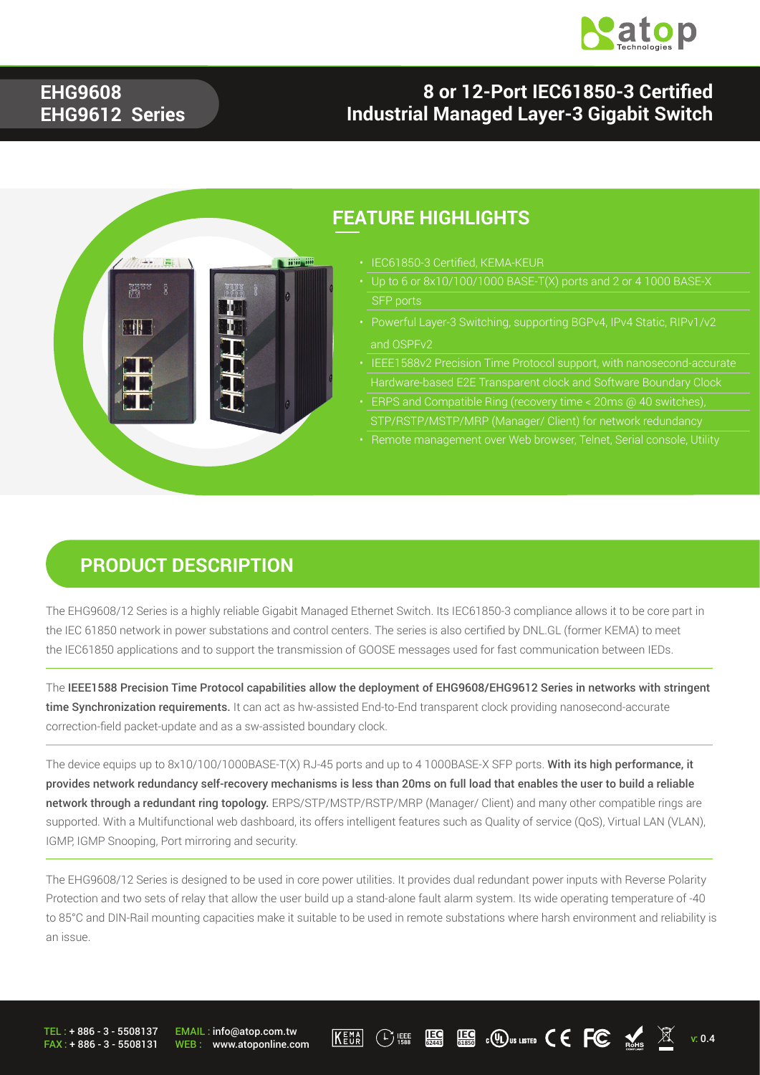

#### **EHG9608 EHG9612 Series**

#### **8 or 12-Port IEC61850-3 Certified Industrial Managed Layer-3 Gigabit Switch**



#### **FEATURE HIGHLIGHTS**

- 
- 
- Powerful Layer-3 Switching, supporting BGPv4, IPv4 Static, RIPv1/v2 and OSPFv2
- IEEE1588v2 Precision Time Protocol support, with nanosecond-accurate
- STP/RSTP/MSTP/MRP (Manager/ Client) for network redundancy
- 

### **PRODUCT DESCRIPTION**

The EHG9608/12 Series is a highly reliable Gigabit Managed Ethernet Switch. Its IEC61850-3 compliance allows it to be core part in the IEC 61850 network in power substations and control centers. The series is also certified by DNL.GL (former KEMA) to meet the IEC61850 applications and to support the transmission of GOOSE messages used for fast communication between IEDs.

The IEEE1588 Precision Time Protocol capabilities allow the deployment of EHG9608/EHG9612 Series in networks with stringent time Synchronization requirements. It can act as hw-assisted End-to-End transparent clock providing nanosecond-accurate correction-field packet-update and as a sw-assisted boundary clock.

The device equips up to 8x10/100/1000BASE-T(X) RJ-45 ports and up to 4 1000BASE-X SFP ports. With its high performance, it provides network redundancy self-recovery mechanisms is less than 20ms on full load that enables the user to build a reliable network through a redundant ring topology. ERPS/STP/MSTP/RSTP/MRP (Manager/ Client) and many other compatible rings are supported. With a Multifunctional web dashboard, its offers intelligent features such as Quality of service (QoS), Virtual LAN (VLAN), IGMP, IGMP Snooping, Port mirroring and security.

The EHG9608/12 Series is designed to be used in core power utilities. It provides dual redundant power inputs with Reverse Polarity Protection and two sets of relay that allow the user build up a stand-alone fault alarm system. Its wide operating temperature of -40 to 85°C and DIN-Rail mounting capacities make it suitable to be used in remote substations where harsh environment and reliability is an issue.

TEL : + 886 - 3 - 5508137 FAX : + 886 - 3 - 5508131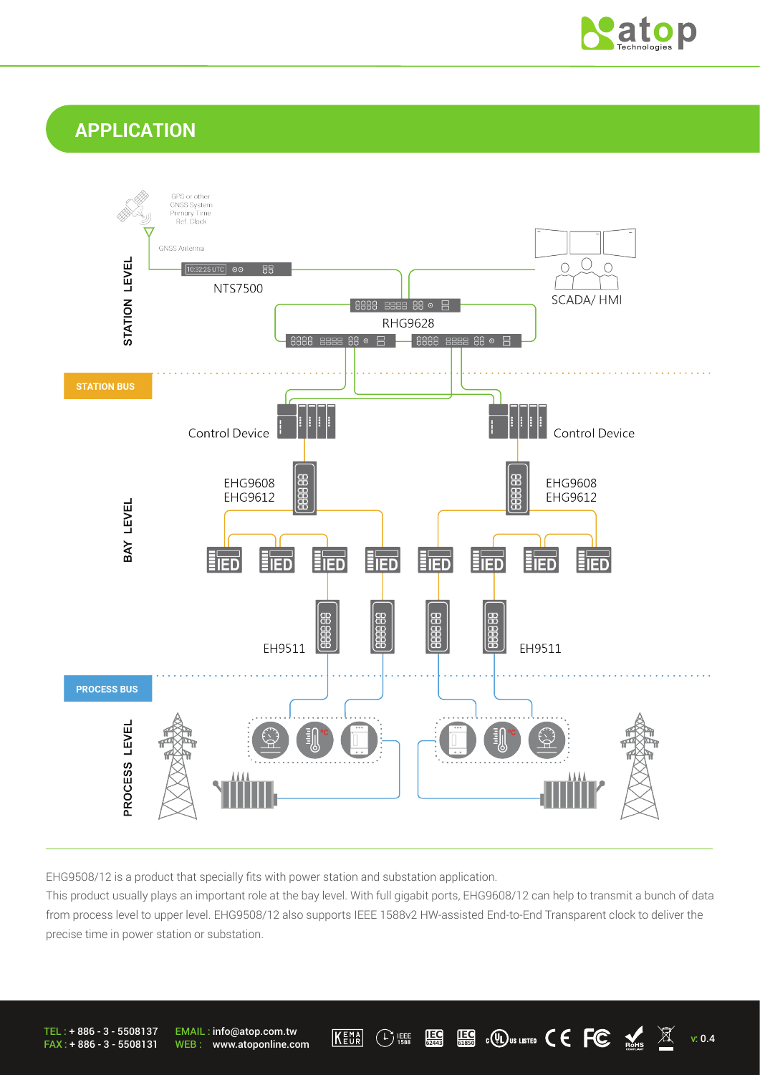

## **APPLICATION**



EHG9508/12 is a product that specially fits with power station and substation application.

This product usually plays an important role at the bay level. With full gigabit ports, EHG9608/12 can help to transmit a bunch of data from process level to upper level. EHG9508/12 also supports IEEE 1588v2 HW-assisted End-to-End Transparent clock to deliver the precise time in power station or substation.

TEL : + 886 - 3 - 5508137 FAX : + 886 - 3 - 5508131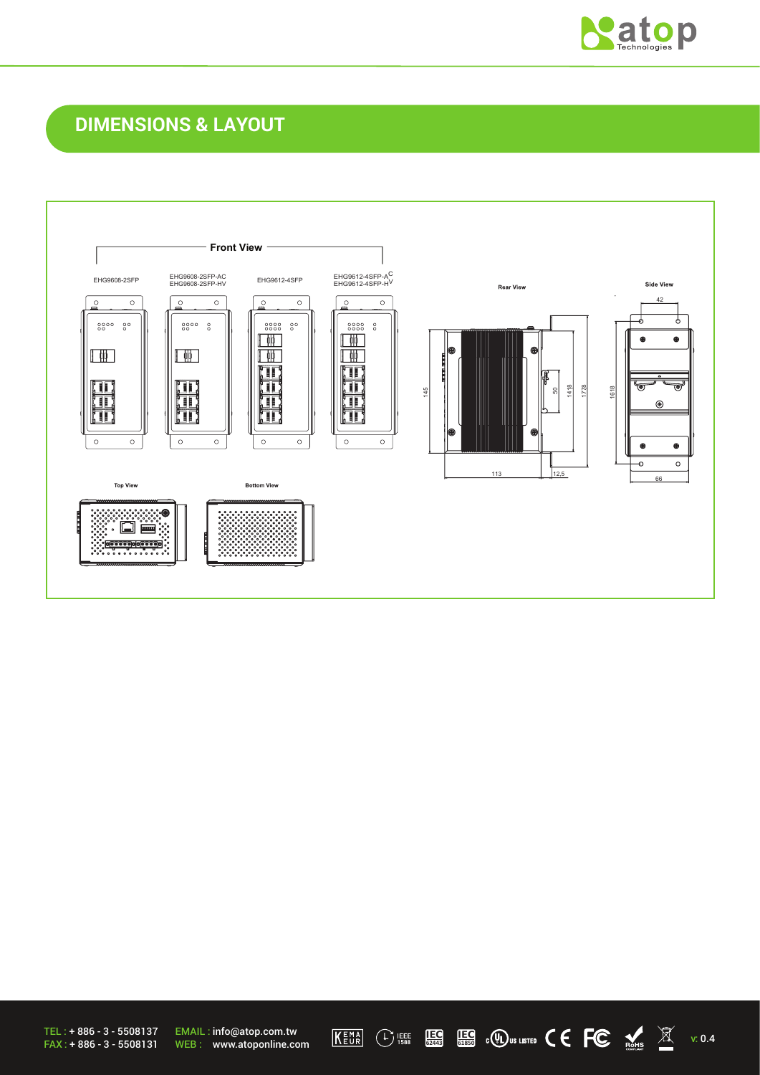

# **DIMENSIONS & LAYOUT**



TEL : + 886 - 3 - 5508137 FAX : + 886 - 3 - 5508131

EMAIL : info@atop.com.tw WEB : www.atoponline.com

**INTO@atop.com.tw**<br>www.atoponline.com KEUR CFISE ES CODUS USTED C FIGURE MANUS V: 0.4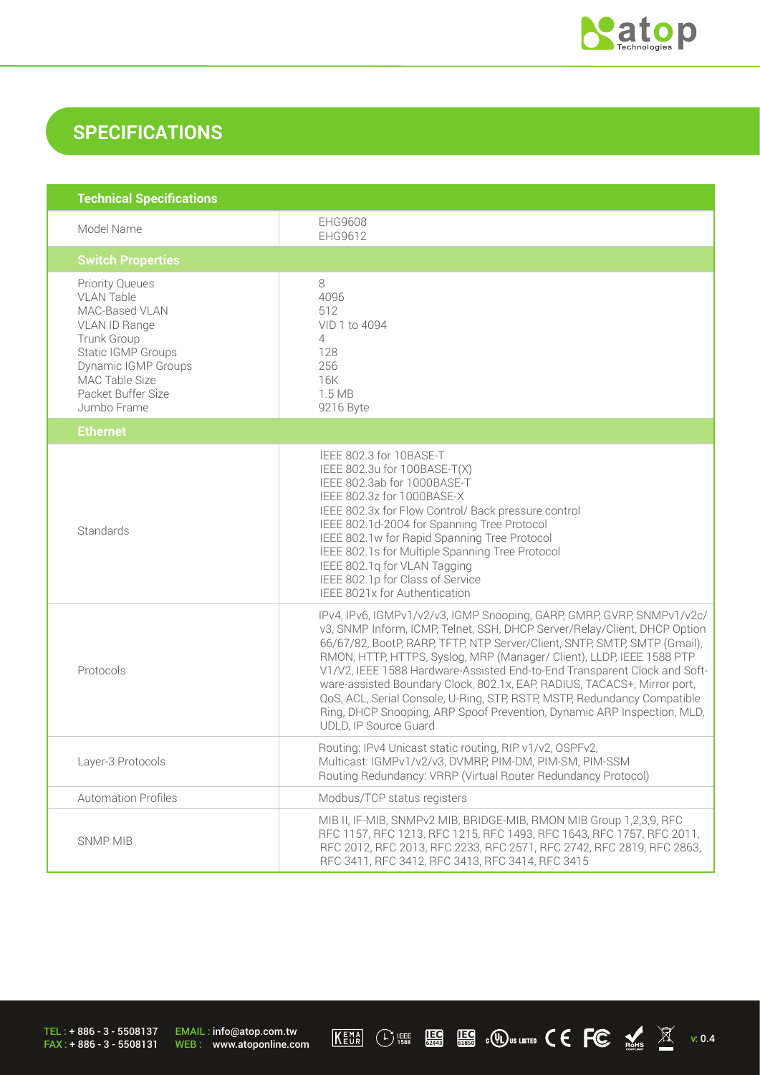

### **SPECIFICATIONS**

| <b>Technical Specifications</b>                                                                                                                                                                          |                                                                                                                                                                                                                                                                                                                                                                                                                                                                                                                                                                                                                                                    |  |  |  |
|----------------------------------------------------------------------------------------------------------------------------------------------------------------------------------------------------------|----------------------------------------------------------------------------------------------------------------------------------------------------------------------------------------------------------------------------------------------------------------------------------------------------------------------------------------------------------------------------------------------------------------------------------------------------------------------------------------------------------------------------------------------------------------------------------------------------------------------------------------------------|--|--|--|
| Model Name                                                                                                                                                                                               | EHG9608<br>EHG9612                                                                                                                                                                                                                                                                                                                                                                                                                                                                                                                                                                                                                                 |  |  |  |
| <b>Switch Properties</b>                                                                                                                                                                                 |                                                                                                                                                                                                                                                                                                                                                                                                                                                                                                                                                                                                                                                    |  |  |  |
| <b>Priority Queues</b><br><b>VLAN Table</b><br>MAC-Based VLAN<br>VLAN ID Range<br>Trunk Group<br><b>Static IGMP Groups</b><br>Dynamic IGMP Groups<br>MAC Table Size<br>Packet Buffer Size<br>Jumbo Frame | 8<br>4096<br>512<br>VID 1 to 4094<br>$\overline{4}$<br>128<br>256<br><b>16K</b><br>1.5 MB<br>9216 Byte                                                                                                                                                                                                                                                                                                                                                                                                                                                                                                                                             |  |  |  |
| <b>Ethernet</b>                                                                                                                                                                                          |                                                                                                                                                                                                                                                                                                                                                                                                                                                                                                                                                                                                                                                    |  |  |  |
| Standards                                                                                                                                                                                                | IEEE 802.3 for 10BASE-T<br>IEEE 802.3u for 100BASE-T(X)<br>IEEE 802.3ab for 1000BASE-T<br>IEEE 802.3z for 1000BASE-X<br>IEEE 802.3x for Flow Control/ Back pressure control<br>IEEE 802.1d-2004 for Spanning Tree Protocol<br>IEEE 802.1w for Rapid Spanning Tree Protocol<br>IEEE 802.1s for Multiple Spanning Tree Protocol<br>IEEE 802.1q for VLAN Tagging<br>IEEE 802.1p for Class of Service<br>IEEE 8021x for Authentication                                                                                                                                                                                                                 |  |  |  |
| Protocols                                                                                                                                                                                                | IPv4, IPv6, IGMPv1/v2/v3, IGMP Snooping, GARP, GMRP, GVRP, SNMPv1/v2c/<br>v3, SNMP Inform, ICMP, Telnet, SSH, DHCP Server/Relay/Client, DHCP Option<br>66/67/82, BootP, RARP, TFTP, NTP Server/Client, SNTP, SMTP, SMTP (Gmail),<br>RMON, HTTP, HTTPS, Syslog, MRP (Manager/ Client), LLDP, IEEE 1588 PTP<br>V1/V2, IEEE 1588 Hardware-Assisted End-to-End Transparent Clock and Soft-<br>ware-assisted Boundary Clock, 802.1x, EAP, RADIUS, TACACS+, Mirror port,<br>QoS, ACL, Serial Console, U-Ring, STP, RSTP, MSTP, Redundancy Compatible<br>Ring, DHCP Snooping, ARP Spoof Prevention, Dynamic ARP Inspection, MLD,<br>UDLD, IP Source Guard |  |  |  |
| Layer-3 Protocols                                                                                                                                                                                        | Routing: IPv4 Unicast static routing, RIP v1/v2, OSPFv2,<br>Multicast: IGMPv1/v2/v3, DVMRP, PIM-DM, PIM-SM, PIM-SSM<br>Routing Redundancy: VRRP (Virtual Router Redundancy Protocol)                                                                                                                                                                                                                                                                                                                                                                                                                                                               |  |  |  |
| <b>Automation Profiles</b>                                                                                                                                                                               | Modbus/TCP status registers                                                                                                                                                                                                                                                                                                                                                                                                                                                                                                                                                                                                                        |  |  |  |
| <b>SNMP MIB</b>                                                                                                                                                                                          | MIB II, IF-MIB, SNMPv2 MIB, BRIDGE-MIB, RMON MIB Group 1,2,3,9, RFC<br>RFC 1157, RFC 1213, RFC 1215, RFC 1493, RFC 1643, RFC 1757, RFC 2011,<br>RFC 2012, RFC 2013, RFC 2233, RFC 2571, RFC 2742, RFC 2819, RFC 2863,<br>RFC 3411, RFC 3412, RFC 3413, RFC 3414, RFC 3415                                                                                                                                                                                                                                                                                                                                                                          |  |  |  |

TEL : + 886 - 3 - 5508137 FAX : + 886 - 3 - 5508131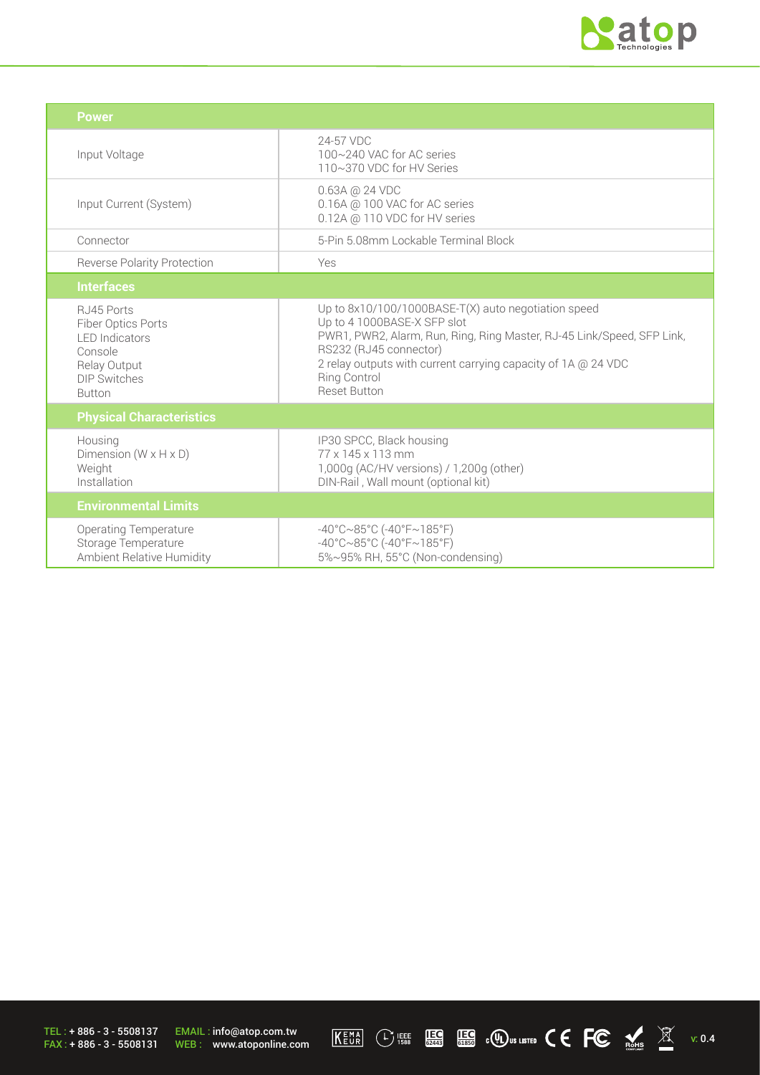

| <b>Power</b>                                                                                                                        |                                                                                                                                                                                                                                                                                                       |
|-------------------------------------------------------------------------------------------------------------------------------------|-------------------------------------------------------------------------------------------------------------------------------------------------------------------------------------------------------------------------------------------------------------------------------------------------------|
| Input Voltage                                                                                                                       | 24-57 VDC<br>100~240 VAC for AC series<br>110~370 VDC for HV Series                                                                                                                                                                                                                                   |
| Input Current (System)                                                                                                              | 0.63A @ 24 VDC<br>0.16A @ 100 VAC for AC series<br>0.12A @ 110 VDC for HV series                                                                                                                                                                                                                      |
| Connector                                                                                                                           | 5-Pin 5.08mm Lockable Terminal Block                                                                                                                                                                                                                                                                  |
| <b>Reverse Polarity Protection</b>                                                                                                  | Yes                                                                                                                                                                                                                                                                                                   |
| <b>Interfaces</b>                                                                                                                   |                                                                                                                                                                                                                                                                                                       |
| RJ45 Ports<br><b>Fiber Optics Ports</b><br><b>LED</b> Indicators<br>Console<br>Relay Output<br><b>DIP Switches</b><br><b>Button</b> | Up to 8x10/100/1000BASE-T(X) auto negotiation speed<br>Up to 4 1000BASE-X SFP slot<br>PWR1, PWR2, Alarm, Run, Ring, Ring Master, RJ-45 Link/Speed, SFP Link,<br>RS232 (RJ45 connector)<br>2 relay outputs with current carrying capacity of 1A @ 24 VDC<br><b>Ring Control</b><br><b>Reset Button</b> |
| <b>Physical Characteristics</b>                                                                                                     |                                                                                                                                                                                                                                                                                                       |
| Housing<br>Dimension ( $W \times H \times D$ )<br>Weight<br>Installation                                                            | IP30 SPCC, Black housing<br>77 x 145 x 113 mm<br>1,000g (AC/HV versions) / 1,200g (other)<br>DIN-Rail, Wall mount (optional kit)                                                                                                                                                                      |
| <b>Environmental Limits</b>                                                                                                         |                                                                                                                                                                                                                                                                                                       |
| <b>Operating Temperature</b><br>Storage Temperature<br>Ambient Relative Humidity                                                    | $-40^{\circ}$ C $\sim$ 85°C (-40°F $\sim$ 185°F)<br>$-40^{\circ}$ C $\sim$ 85°C (-40°F $\sim$ 185°F)<br>5%~95% RH, 55°C (Non-condensing)                                                                                                                                                              |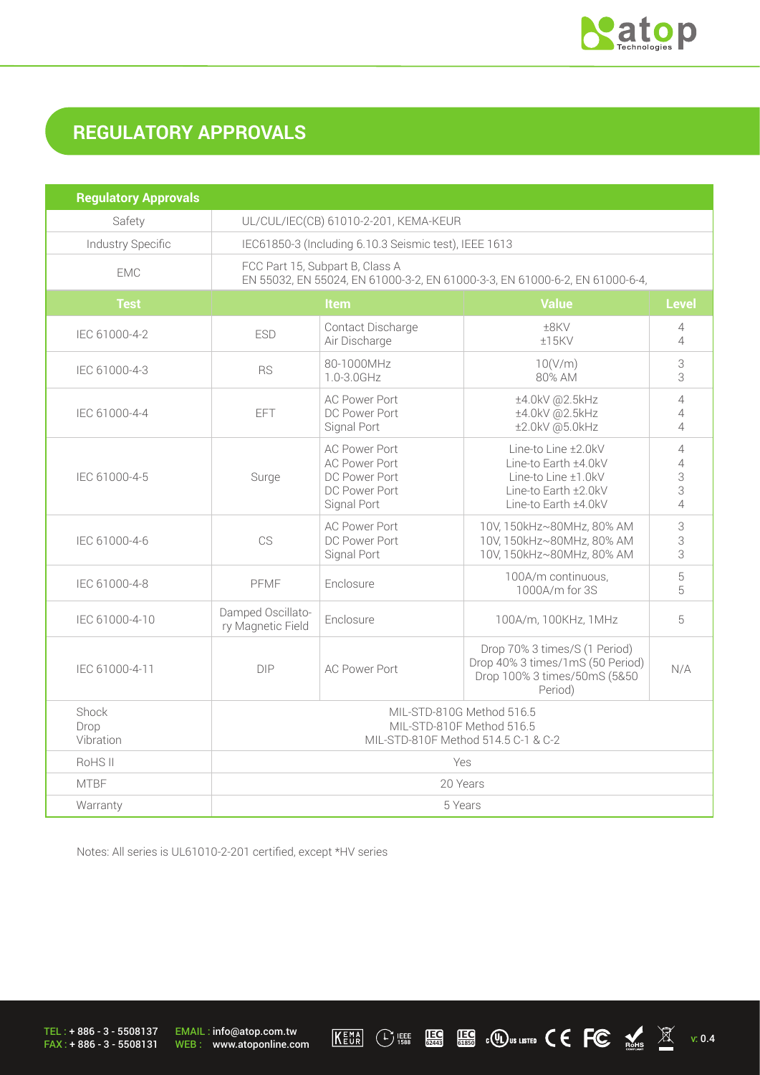

## **REGULATORY APPROVALS**

| <b>Regulatory Approvals</b> |                                                                                                                |                                                                                               |                                                                                                                          |                                                              |
|-----------------------------|----------------------------------------------------------------------------------------------------------------|-----------------------------------------------------------------------------------------------|--------------------------------------------------------------------------------------------------------------------------|--------------------------------------------------------------|
| Safety                      | UL/CUL/IEC(CB) 61010-2-201, KEMA-KEUR                                                                          |                                                                                               |                                                                                                                          |                                                              |
| Industry Specific           | IEC61850-3 (Including 6.10.3 Seismic test), IEEE 1613                                                          |                                                                                               |                                                                                                                          |                                                              |
| <b>EMC</b>                  | FCC Part 15, Subpart B, Class A<br>EN 55032, EN 55024, EN 61000-3-2, EN 61000-3-3, EN 61000-6-2, EN 61000-6-4, |                                                                                               |                                                                                                                          |                                                              |
| <b>Test</b>                 |                                                                                                                | Item                                                                                          | <b>Value</b>                                                                                                             | <b>Level</b>                                                 |
| IEC 61000-4-2               | <b>ESD</b>                                                                                                     | Contact Discharge<br>Air Discharge                                                            | ±8KV<br>$±15$ KV                                                                                                         | 4<br>$\overline{4}$                                          |
| IEC 61000-4-3               | <b>RS</b>                                                                                                      | 80-1000MHz<br>1.0-3.0GHz                                                                      | 10(V/m)<br>80% AM                                                                                                        | 3<br>3                                                       |
| IEC 61000-4-4               | <b>EFT</b>                                                                                                     | <b>AC Power Port</b><br>DC Power Port<br>Signal Port                                          | ±4.0kV @2.5kHz<br>±4.0kV @2.5kHz<br>±2.0kV @5.0kHz                                                                       | $\overline{4}$<br>$\overline{4}$<br>$\overline{\mathcal{L}}$ |
| IEC 61000-4-5               | Surge                                                                                                          | <b>AC Power Port</b><br><b>AC Power Port</b><br>DC Power Port<br>DC Power Port<br>Signal Port | Line-to Line ±2.0kV<br>Line-to Earth ±4.0kV<br>Line-to Line $\pm 1.0$ kV<br>Line-to Earth ±2.0kV<br>Line-to Earth ±4.0kV | $\overline{4}$<br>$\overline{4}$<br>3<br>3<br>$\overline{4}$ |
| IEC 61000-4-6               | CS                                                                                                             | <b>AC Power Port</b><br>DC Power Port<br>Signal Port                                          | 10V, 150kHz~80MHz, 80% AM<br>10V, 150kHz~80MHz, 80% AM<br>10V, 150kHz~80MHz, 80% AM                                      | 3<br>3<br>3                                                  |
| IEC 61000-4-8               | PFMF                                                                                                           | Enclosure                                                                                     | 100A/m continuous,<br>1000A/m for 3S                                                                                     | 5<br>5                                                       |
| IEC 61000-4-10              | Damped Oscillato-<br>ry Magnetic Field                                                                         | Enclosure                                                                                     | 100A/m, 100KHz, 1MHz                                                                                                     | 5                                                            |
| IEC 61000-4-11              | <b>DIP</b>                                                                                                     | <b>AC Power Port</b>                                                                          | Drop 70% 3 times/S (1 Period)<br>Drop 40% 3 times/1mS (50 Period)<br>Drop 100% 3 times/50mS (5&50<br>Period)             | N/A                                                          |
| Shock<br>Drop<br>Vibration  | MIL-STD-810G Method 516.5<br>MIL-STD-810F Method 516.5<br>MIL-STD-810F Method 514.5 C-1 & C-2                  |                                                                                               |                                                                                                                          |                                                              |
| RoHS <sub>II</sub>          |                                                                                                                | Yes                                                                                           |                                                                                                                          |                                                              |
| <b>MTBF</b>                 | 20 Years                                                                                                       |                                                                                               |                                                                                                                          |                                                              |
| Warranty                    | 5 Years                                                                                                        |                                                                                               |                                                                                                                          |                                                              |

Notes: All series is UL61010-2-201 certified, except \*HV series

TEL : + 886 - 3 - 5508137 FAX : + 886 - 3 - 5508131